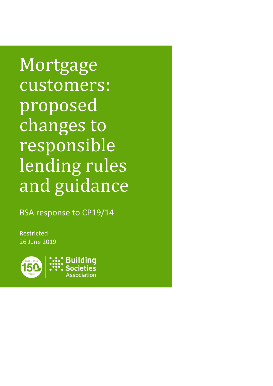Mortgage customers: proposed changes to responsible lending rules and guidance

BSA response to CP19/14

Restricted 26 June 2019

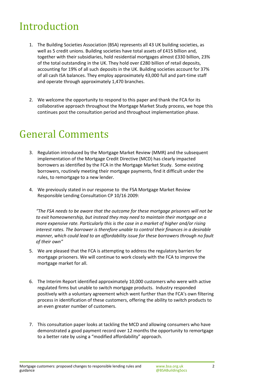## Introduction

- 1. The Building Societies Association (BSA) represents all 43 UK building societies, as well as 5 credit unions. Building societies have total assets of £415 billion and, together with their subsidiaries, hold residential mortgages almost £330 billion, 23% of the total outstanding in the UK. They hold over £280 billion of retail deposits, accounting for 19% of all such deposits in the UK. Building societies account for 37% of all cash ISA balances. They employ approximately 43,000 full and part-time staff and operate through approximately 1,470 branches.
- 2. We welcome the opportunity to respond to this paper and thank the FCA for its collaborative approach throughout the Mortgage Market Study process, we hope this continues post the consultation period and throughout implementation phase.

### General Comments

- 3. Regulation introduced by the Mortgage Market Review (MMR) and the subsequent implementation of the Mortgage Credit Directive (MCD) has clearly impacted borrowers as identified by the FCA in the Mortgage Market Study. Some existing borrowers, routinely meeting their mortgage payments, find it difficult under the rules, to remortgage to a new lender.
- 4. We previously stated in our response to the FSA Mortgage Market Review Responsible Lending Consultation CP 10/16 2009:

*"The FSA needs to be aware that the outcome for these mortgage prisoners will not be to exit homeownership, but instead they may need to maintain their mortgage on a more expensive rate. Particularly this is the case in a market of higher and/or rising interest rates. The borrower is therefore unable to control their finances in a desirable manner, which could lead to an affordability issue for these borrowers through no fault of their own"*

- 5. We are pleased that the FCA is attempting to address the regulatory barriers for mortgage prisoners. We will continue to work closely with the FCA to improve the mortgage market for all.
- 6. The Interim Report identified approximately 10,000 customers who were with active regulated firms but unable to switch mortgage products. Industry responded positively with a voluntary agreement which went further than the FCA's own filtering process in identification of these customers, offering the ability to switch products to an even greater number of customers.
- 7. This consultation paper looks at tackling the MCD and allowing consumers who have demonstrated a good payment record over 12 months the opportunity to remortgage to a better rate by using a "modified affordability" approach.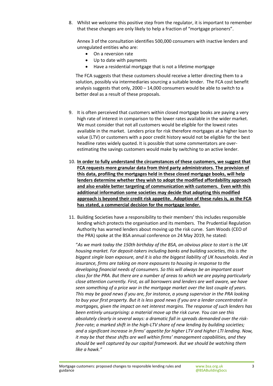8. Whilst we welcome this positive step from the regulator, it is important to remember that these changes are only likely to help a fraction of "mortgage prisoners".

Annex 3 of the consultation identifies 500,000 consumers with inactive lenders and unregulated entities who are:

- On a reversion rate
- Up to date with payments
- Have a residential mortgage that is not a lifetime mortgage

The FCA suggests that these customers should receive a letter directing them to a solution, possibly via intermediaries sourcing a suitable lender. The FCA cost benefit analysis suggests that only, 2000 – 14,000 consumers would be able to switch to a better deal as a result of these proposals.

- 9. It is often perceived that customers within closed mortgage books are paying a very high rate of interest in comparison to the lower rates available in the wider market. We must consider that not all customers would be eligible for the lowest rates available in the market. Lenders price for risk therefore mortgages at a higher loan to value (LTV) or customers with a poor credit history would not be eligible for the best headline rates widely quoted. It is possible that some commentators are overestimating the savings customers would make by switching to an active lender.
- 10. **In order to fully understand the circumstances of these customers, we suggest that FCA requests more granular data from third party administrators. The provision of this data, profiling the mortgages held in these closed mortgage books, will help lenders determine whether they wish to adopt the modified affordability approach and also enable better targeting of communication with customers. Even with this additional information some societies may decide that adopting this modified approach is beyond their credit risk appetite. Adoption of these rules is, as the FCA has stated, a commercial decision for the mortgage lender.**
- 11. Building Societies have a responsibility to their members' this includes responsible lending which protects the organisation and its members. The Prudential Regulation Authority has warned lenders about moving up the risk curve. Sam Woods (CEO of the PRA) spoke at the BSA annual conference on 24 May 2019, he stated:

"*As we mark today the 150th birthday of the BSA, an obvious place to start is the UK housing market. For deposit-takers including banks and building societies, this is the biggest single loan exposure, and it is also the biggest liability of UK households. And in insurance, firms are taking on more exposures to housing in response to the developing financial needs of consumers. So this will always be an important asset class for the PRA. But there are a number of areas to which we are paying particularly close attention currently. First, as all borrowers and lenders are well aware, we have seen something of a price war in the mortgage market over the last couple of years. This may be good news if you are, for instance, a young supervisor in the PRA looking to buy your first property. But it is less good news if you are a lender concentrated in mortgages, given the impact on net interest margins. The response of such lenders has been entirely unsurprising: a material move up the risk curve. You can see this absolutely clearly in several ways: a dramatic fall in spreads demanded over the riskfree-rate; a marked shift in the high-LTV share of new lending by building societies; and a significant increase in firms' appetite for higher LTV and higher LTI lending. Now, it may be that these shifts are well within firms' management capabilities, and they should be well captured by our capital framework. But we should be watching them like a hawk."*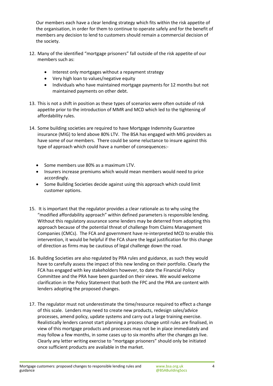Our members each have a clear lending strategy which fits within the risk appetite of the organisation, in order for them to continue to operate safely and for the benefit of members any decision to lend to customers should remain a commercial decision of the society.

- 12. Many of the identified "mortgage prisoners" fall outside of the risk appetite of our members such as:
	- Interest only mortgages without a repayment strategy
	- Very high loan to values/negative equity
	- Individuals who have maintained mortgage payments for 12 months but not maintained payments on other debt.
- 13. This is not a shift in position as these types of scenarios were often outside of risk appetite prior to the introduction of MMR and MCD which led to the tightening of affordability rules.
- 14. Some building societies are required to have Mortgage Indemnity Guarantee insurance (MIG) to lend above 80% LTV. The BSA has engaged with MIG providers as have some of our members. There could be some reluctance to insure against this type of approach which could have a number of consequences:-
	- Some members use 80% as a maximum LTV.
	- Insurers increase premiums which would mean members would need to price accordingly.
	- Some Building Societies decide against using this approach which could limit customer options.
- 15. It is important that the regulator provides a clear rationale as to why using the "modified affordability approach" within defined parameters is responsible lending. Without this regulatory assurance some lenders may be deterred from adopting this approach because of the potential threat of challenge from Claims Management Companies (CMCs). The FCA and government have re-interpreted MCD to enable this intervention, it would be helpful if the FCA share the legal justification for this change of direction as firms may be cautious of legal challenge down the road.
- 16. Building Societies are also regulated by PRA rules and guidance, as such they would have to carefully assess the impact of this new lending on their portfolio. Clearly the FCA has engaged with key stakeholders however, to date the Financial Policy Committee and the PRA have been guarded on their views. We would welcome clarification in the Policy Statement that both the FPC and the PRA are content with lenders adopting the proposed changes.
- 17. The regulator must not underestimate the time/resource required to effect a change of this scale. Lenders may need to create new products, redesign sales/advice processes, amend policy, update systems and carry out a large training exercise. Realistically lenders cannot start planning a process change until rules are finalised, in view of this mortgage products and processes may not be in place immediately and may follow a few months, in some cases up to six months after the changes go live. Clearly any letter writing exercise to "mortgage prisoners" should only be initiated once sufficient products are available in the market.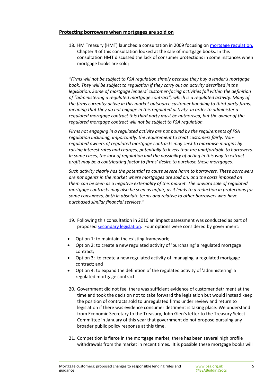### **Protecting borrowers when mortgages are sold on**

18. HM Treasury (HMT) launched a consultation in 2009 focusing on [mortgage regulation.](https://assets.publishing.service.gov.uk/government/uploads/system/uploads/attachment_data/file/81508/consult_mortgage_regulation.pdf)  Chapter 4 of this consultation looked at the sale of mortgage books. In this consultation HMT discussed the lack of consumer protections in some instances when mortgage books are sold;

*"Firms will not be subject to FSA regulation simply because they buy a lender's mortgage book. They will be subject to regulation if they carry out an activity described in the legislation. Some of mortgage lenders' customer-facing activities fall within the definition of "administering a regulated mortgage contract", which is a regulated activity. Many of the firms currently active in this market outsource customer handling to third-party firms, meaning that they do not engage in this regulated activity. In order to administer a regulated mortgage contract this third party must be authorised, but the owner of the regulated mortgage contract will not be subject to FSA regulation.* 

*Firms not engaging in a regulated activity are not bound by the requirements of FSA regulation including, importantly, the requirement to treat customers fairly. Nonregulated owners of regulated mortgage contracts may seek to maximise margins by raising interest rates and charges, potentially to levels that are unaffordable to borrowers. In some cases, the lack of regulation and the possibility of acting in this way to extract profit may be a contributing factor to firms' desire to purchase these mortgages.* 

*Such activity clearly has the potential to cause severe harm to borrowers. These borrowers are not agents in the market where mortgages are sold on, and the costs imposed on them can be seen as a negative externality of this market. The onward sale of regulated mortgage contracts may also be seen as unfair, as it leads to a reduction in protections for some consumers, both in absolute terms and relative to other borrowers who have purchased similar financial services."*

- 19. Following this consultation in 2010 an impact assessment was conducted as part of proposed [secondary legislation.](http://www.legislation.gov.uk/ukia/2010/322/pdfs/ukia_20100322_en.pdf) Four options were considered by government:
- Option 1: to maintain the existing framework;
- Option 2: to create a new regulated activity of 'purchasing' a regulated mortgage contract;
- Option 3: to create a new regulated activity of 'managing' a regulated mortgage contract; and
- Option 4: to expand the definition of the regulated activity of 'administering' a regulated mortgage contract.
- 20. Government did not feel there was sufficient evidence of customer detriment at the time and took the decision not to take forward the legislation but would instead keep the position of contracts sold to unregulated firms under review and return to legislation if there was evidence consumer detriment is taking place. We understand from Economic Secretary to the Treasury, John Glen's letter to the Treasury Select Committee in January of this year that government do not propose pursuing any broader public policy response at this time.
- 21. Competition is fierce in the mortgage market, there has been several high profile withdrawals from the market in recent times. It is possible these mortgage books will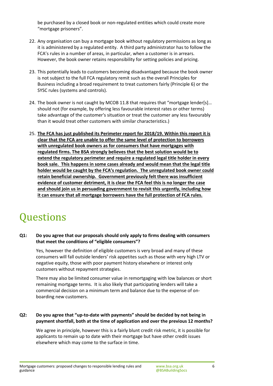be purchased by a closed book or non-regulated entities which could create more "mortgage prisoners".

- 22. Any organisation can buy a mortgage book without regulatory permissions as long as it is administered by a regulated entity. A third party administrator has to follow the FCA's rules in a number of areas, in particular, when a customer is in arrears. However, the book owner retains responsibility for setting policies and pricing.
- 23. This potentially leads to customers becoming disadvantaged because the book owner is not subject to the full FCA regulatory remit such as the overall Principles for Business including a broad requirement to treat customers fairly (Principle 6) or the SYSC rules (systems and controls).
- 24. The book owner is not caught by MCOB 11.8 that requires that "mortgage lender[s]… should not (for example, by offering less favourable interest rates or other terms) take advantage of the customer's situation or treat the customer any less favourably than it would treat other customers with similar characteristics.)
- 25. **The FCA has just published its Perimeter report for 2018/19. Within this report it is clear that the FCA are unable to offer the same level of protection to borrowers with unregulated book owners as for consumers that have mortgages with regulated firms. The BSA strongly believes that the best solution would be to extend the regulatory perimeter and require a regulated legal title holder in every book sale. This happens in some cases already and would mean that the legal title holder would be caught by the FCA's regulation. The unregulated book owner could retain beneficial ownership. Government previously felt there was insufficient evidence of customer detriment, it is clear the FCA feel this is no longer the case and should join us in persuading government to revisit this urgently, including how it can ensure that all mortgage borrowers have the full protection of FCA rules.**

## **Questions**

#### **Q1: Do you agree that our proposals should only apply to firms dealing with consumers that meet the conditions of "eligible consumers"?**

Yes, however the definition of eligible customers is very broad and many of these consumers will fall outside lenders' risk appetites such as those with very high LTV or negative equity, those with poor payment history elsewhere or interest only customers without repayment strategies.

There may also be limited consumer value in remortgaging with low balances or short remaining mortgage terms. It is also likely that participating lenders will take a commercial decision on a minimum term and balance due to the expense of onboarding new customers.

### **Q2: Do you agree that "up-to-date with payments" should be decided by not being in payment shortfall, both at the time of application and over the previous 12 months?**

We agree in principle, however this is a fairly blunt credit risk metric, it is possible for applicants to remain up to date with their mortgage but have other credit issues elsewhere which may come to the surface in time.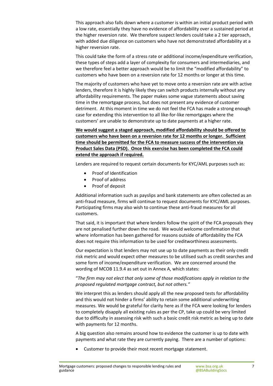This approach also falls down where a customer is within an initial product period with a low rate, essentially they have no evidence of affordability over a sustained period at the higher reversion rate. We therefore suspect lenders could take a 2 tier approach, with added due diligence on customers who have not demonstrated affordability at a higher reversion rate.

This could take the form of a stress rate or additional income/expenditure verification, these types of steps add a layer of complexity for consumers and intermediaries, and we therefore feel a better approach would be to limit the "modified affordability" to customers who have been on a reversion rate for 12 months or longer at this time.

The majority of customers who have yet to move onto a reversion rate are with active lenders, therefore it is highly likely they can switch products internally without any affordability requirements. The paper makes some vague statements about saving time in the remortgage process, but does not present any evidence of customer detriment. At this moment in time we do not feel the FCA has made a strong enough case for extending this intervention to all like-for-like remortgages where the customers' are unable to demonstrate up to date payments at a higher rate.

**We would suggest a staged approach, modified affordability should be offered to customers who have been on a reversion rate for 12 months or longer. Sufficient time should be permitted for the FCA to measure success of the intervention via Product Sales Data (PSD). Once this exercise has been completed the FCA could extend the approach if required.** 

Lenders are required to request certain documents for KYC/AML purposes such as:

- Proof of Identification
- Proof of address
- Proof of deposit

Additional information such as payslips and bank statements are often collected as an anti-fraud measure, firms will continue to request documents for KYC/AML purposes. Participating firms may also wish to continue these anti-fraud measures for all customers.

That said, it is important that where lenders follow the spirit of the FCA proposals they are not penalised further down the road. We would welcome confirmation that where information has been gathered for reasons outside of affordability the FCA does not require this information to be used for creditworthiness assessments.

Our expectation is that lenders may not use up to date payments as their only credit risk metric and would expect other measures to be utilised such as credit searches and some form of income/expenditure verification. We are concerned around the wording of MCOB 11.9.4 as set out in Annex A, which states:

"*The firm may not elect that only some of those modifications apply in relation to the proposed regulated mortgage contract, but not others."*

We interpret this as lenders should apply all the new proposed tests for affordability and this would not hinder a firms' ability to retain some additional underwriting measures. We would be grateful for clarity here as if the FCA were looking for lenders to completely disapply all existing rules as per the CP, take up could be very limited due to difficulty in assessing risk with such a basic credit risk metric as being up to date with payments for 12 months.

A big question also remains around how to evidence the customer is up to date with payments and what rate they are currently paying. There are a number of options:

Customer to provide their most recent mortgage statement.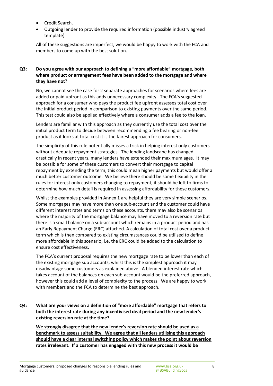- Credit Search.
- Outgoing lender to provide the required information (possible industry agreed template)

All of these suggestions are imperfect, we would be happy to work with the FCA and members to come up with the best solution.

#### **Q3: Do you agree with our approach to defining a "more affordable" mortgage, both where product or arrangement fees have been added to the mortgage and where they have not?**

No, we cannot see the case for 2 separate approaches for scenarios where fees are added or paid upfront as this adds unnecessary complexity. The FCA's suggested approach for a consumer who pays the product fee upfront assesses total cost over the initial product period in comparison to existing payments over the same period. This test could also be applied effectively where a consumer adds a fee to the loan.

Lenders are familiar with this approach as they currently use the total cost over the initial product term to decide between recommending a fee bearing or non-fee product as it looks at total cost it is the fairest approach for consumers.

The simplicity of this rule potentially misses a trick in helping interest only customers without adequate repayment strategies. The lending landscape has changed drastically in recent years, many lenders have extended their maximum ages. It may be possible for some of these customers to convert their mortgage to capital repayment by extending the term, this could mean higher payments but would offer a much better customer outcome. We believe there should be some flexibility in the rules for interest only customers changing to repayment, it should be left to firms to determine how much detail is required in assessing affordability for these customers.

Whilst the examples provided in Annex 1 are helpful they are very simple scenarios. Some mortgages may have more than one sub-account and the customer could have different interest rates and terms on these accounts, there may also be scenarios where the majority of the mortgage balance may have moved to a reversion rate but there is a small balance on a sub-account which remains in a product period and has an Early Repayment Charge (ERC) attached. A calculation of total cost over a product term which is then compared to existing circumstances could be utilised to define more affordable in this scenario, i.e. the ERC could be added to the calculation to ensure cost effectiveness.

The FCA's current proposal requires the new mortgage rate to be lower than each of the existing mortgage sub accounts, whilst this is the simplest approach it may disadvantage some customers as explained above. A blended interest rate which takes account of the balances on each sub-account would be the preferred approach, however this could add a level of complexity to the process. We are happy to work with members and the FCA to determine the best approach.

**Q4: What are your views on a definition of "more affordable" mortgage that refers to both the interest rate during any incentivised deal period and the new lender's existing reversion rate at the time?**

**We strongly disagree that the new lender's reversion rate should be used as a benchmark to assess suitability. We agree that all lenders utilising this approach should have a clear internal switching policy which makes the point about reversion rates irrelevant. If a customer has engaged with this new process it would be**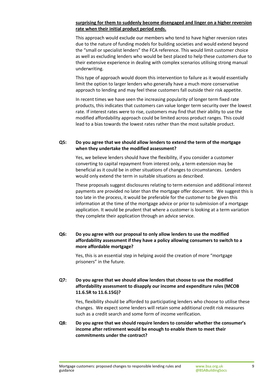#### **surprising for them to suddenly become disengaged and linger on a higher reversion rate when their initial product period ends.**

This approach would exclude our members who tend to have higher reversion rates due to the nature of funding models for building societies and would extend beyond the "small or specialist lenders" the FCA reference. This would limit customer choice as well as excluding lenders who would be best placed to help these customers due to their extensive experience in dealing with complex scenarios utilising strong manual underwriting.

This type of approach would doom this intervention to failure as it would essentially limit the option to larger lenders who generally have a much more conservative approach to lending and may feel these customers fall outside their risk appetite.

In recent times we have seen the increasing popularity of longer term fixed rate products, this indicates that customers can value longer term security over the lowest rate. If interest rates were to rise, customers may find that their ability to use the modified affordability approach could be limited across product ranges. This could lead to a bias towards the lowest rates rather than the most suitable product.

#### **Q5: Do you agree that we should allow lenders to extend the term of the mortgage when they undertake the modified assessment?**

Yes, we believe lenders should have the flexibility, if you consider a customer converting to capital repayment from interest only, a term extension may be beneficial as it could be in other situations of changes to circumstances. Lenders would only extend the term in suitable situations as described.

These proposals suggest disclosures relating to term extension and additional interest payments are provided no later than the mortgage offer document. We suggest this is too late in the process, it would be preferable for the customer to be given this information at the time of the mortgage advice or prior to submission of a mortgage application. It would be prudent that where a customer is looking at a term variation they complete their application through an advice service.

#### **Q6: Do you agree with our proposal to only allow lenders to use the modified affordability assessment if they have a policy allowing consumers to switch to a more affordable mortgage?**

Yes, this is an essential step in helping avoid the creation of more "mortgage prisoners" in the future.

#### **Q7: Do you agree that we should allow lenders that choose to use the modified affordability assessment to disapply our income and expenditure rules (MCOB 11.6.5R to 11.6.15G)?**

Yes, flexibility should be afforded to participating lenders who choose to utilise these changes. We expect some lenders will retain some additional credit risk measures such as a credit search and some form of income verification.

**Q8: Do you agree that we should require lenders to consider whether the consumer's income after retirement would be enough to enable them to meet their commitments under the contract?**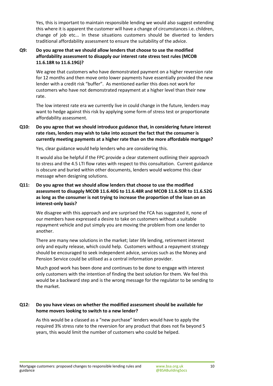Yes, this is important to maintain responsible lending we would also suggest extending this where it is apparent the customer will have a change of circumstances i.e. children, change of job etc... In these situations customers should be diverted to lenders traditional affordability assessment to ensure the suitability of the advice.

#### **Q9: Do you agree that we should allow lenders that choose to use the modified affordability assessment to disapply our interest rate stress test rules (MCOB 11.6.18R to 11.6.19G)?**

We agree that customers who have demonstrated payment on a higher reversion rate for 12 months and then move onto lower payments have essentially provided the new lender with a credit risk "buffer". As mentioned earlier this does not work for customers who have not demonstrated repayment at a higher level than their new rate.

The low interest rate era we currently live in could change in the future, lenders may want to hedge against this risk by applying some form of stress test or proportionate affordability assessment.

### **Q10: Do you agree that we should introduce guidance that, in considering future interest rate rises, lenders may wish to take into account the fact that the consumer is currently meeting payments at a higher rate than on the more affordable mortgage?**

Yes, clear guidance would help lenders who are considering this.

It would also be helpful if the FPC provide a clear statement outlining their approach to stress and the 4.5 LTI flow rates with respect to this consultation. Current guidance is obscure and buried within other documents, lenders would welcome this clear message when designing solutions.

### **Q11: Do you agree that we should allow lenders that choose to use the modified assessment to disapply MCOB 11.6.40G to 11.6.48R and MCOB 11.6.50R to 11.6.52G as long as the consumer is not trying to increase the proportion of the loan on an interest-only basis?**

We disagree with this approach and are surprised the FCA has suggested it, none of our members have expressed a desire to take on customers without a suitable repayment vehicle and put simply you are moving the problem from one lender to another.

There are many new solutions in the market; later life lending, retirement interest only and equity release, which could help. Customers without a repayment strategy should be encouraged to seek independent advice, services such as the Money and Pension Service could be utilised as a central information provider.

Much good work has been done and continues to be done to engage with interest only customers with the intention of finding the best solution for them. We feel this would be a backward step and is the wrong message for the regulator to be sending to the market.

### **Q12: Do you have views on whether the modified assessment should be available for home movers looking to switch to a new lender?**

As this would be a classed as a "new purchase" lenders would have to apply the required 3% stress rate to the reversion for any product that does not fix beyond 5 years, this would limit the number of customers who could be helped.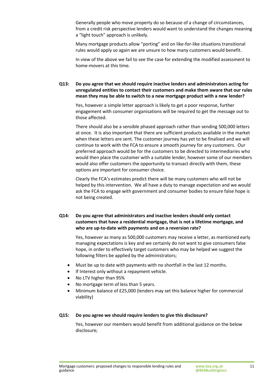Generally people who move property do so because of a change of circumstances, from a credit risk perspective lenders would want to understand the changes meaning a "light touch" approach is unlikely.

Many mortgage products allow "porting" and on like-for-like situations transitional rules would apply so again we are unsure to how many customers would benefit.

In view of the above we fail to see the case for extending the modified assessment to home-movers at this time.

#### **Q13: Do you agree that we should require inactive lenders and administrators acting for unregulated entities to contact their customers and make them aware that our rules mean they may be able to switch to a new mortgage product with a new lender?**

Yes, however a simple letter approach is likely to get a poor response, further engagement with consumer organisations will be required to get the message out to those affected.

There should also be a sensible phased approach rather than sending 500,000 letters at once. It is also important that there are sufficient products available in the market when these letters are sent. The customer journey has yet to be finalised and we will continue to work with the FCA to ensure a smooth journey for any customers. Our preferred approach would be for the customers to be directed to intermediaries who would then place the customer with a suitable lender, however some of our members would also offer customers the opportunity to transact directly with them, these options are important for consumer choice.

Clearly the FCA's estimates predict there will be many customers who will not be helped by this intervention. We all have a duty to manage expectation and we would ask the FCA to engage with government and consumer bodies to ensure false hope is not being created.

#### **Q14: Do you agree that administrators and inactive lenders should only contact customers that have a residential mortgage, that is not a lifetime mortgage, and who are up-to-date with payments and on a reversion rate?**

Yes, however as many as 500,000 customers may receive a letter, as mentioned early managing expectations is key and we certainly do not want to give consumers false hope, in order to effectively target customers who may be helped we suggest the following filters be applied by the administrators;

- Must be up to date with payments with no shortfall in the last 12 months.
- If Interest only without a repayment vehicle.
- No LTV higher than 95%
- No mortgage term of less than 5 years.
- Minimum balance of £25,000 (lenders may set this balance higher for commercial viability)

#### **Q15: Do you agree we should require lenders to give this disclosure?**

Yes, however our members would benefit from additional guidance on the below disclosure;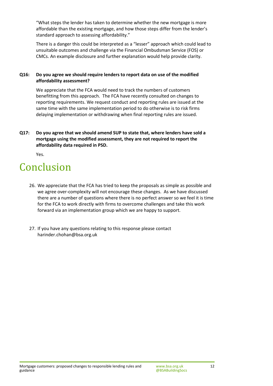"What steps the lender has taken to determine whether the new mortgage is more affordable than the existing mortgage, and how those steps differ from the lender's standard approach to assessing affordability."

There is a danger this could be interpreted as a "lesser" approach which could lead to unsuitable outcomes and challenge via the Financial Ombudsman Service (FOS) or CMCs. An example disclosure and further explanation would help provide clarity.

#### **Q16: Do you agree we should require lenders to report data on use of the modified affordability assessment?**

We appreciate that the FCA would need to track the numbers of customers benefitting from this approach. The FCA have recently consulted on changes to reporting requirements. We request conduct and reporting rules are issued at the same time with the same implementation period to do otherwise is to risk firms delaying implementation or withdrawing when final reporting rules are issued.

**Q17: Do you agree that we should amend SUP to state that, where lenders have sold a mortgage using the modified assessment, they are not required to report the affordability data required in PSD.**

Yes.

# Conclusion

- 26. We appreciate that the FCA has tried to keep the proposals as simple as possible and we agree over-complexity will not encourage these changes. As we have discussed there are a number of questions where there is no perfect answer so we feel it is time for the FCA to work directly with firms to overcome challenges and take this work forward via an implementation group which we are happy to support.
- 27. If you have any questions relating to this response please contact harinder.chohan@bsa.org.uk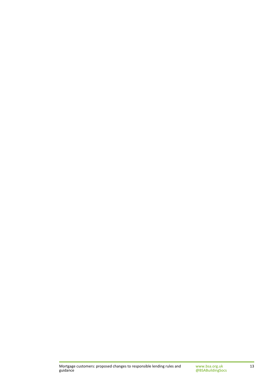#### Mortgage customers: proposed changes to responsible lending rules and guidance